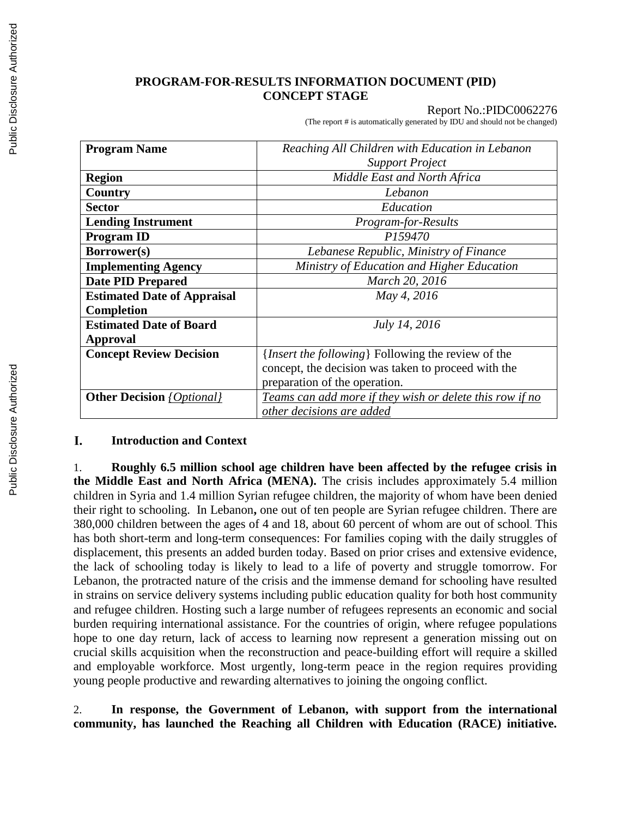### **PROGRAM-FOR-RESULTS INFORMATION DOCUMENT (PID) CONCEPT STAGE**

#### Report No.:PIDC0062276

(The report # is automatically generated by IDU and should not be changed)

| <b>Program Name</b>                     | Reaching All Children with Education in Lebanon             |  |  |  |
|-----------------------------------------|-------------------------------------------------------------|--|--|--|
|                                         | <b>Support Project</b>                                      |  |  |  |
| <b>Region</b>                           | Middle East and North Africa                                |  |  |  |
| Country                                 | Lebanon                                                     |  |  |  |
| <b>Sector</b>                           | Education                                                   |  |  |  |
| <b>Lending Instrument</b>               | Program-for-Results                                         |  |  |  |
| <b>Program ID</b>                       | P159470                                                     |  |  |  |
| <b>Borrower(s)</b>                      | Lebanese Republic, Ministry of Finance                      |  |  |  |
| <b>Implementing Agency</b>              | Ministry of Education and Higher Education                  |  |  |  |
| <b>Date PID Prepared</b>                | March 20, 2016                                              |  |  |  |
| <b>Estimated Date of Appraisal</b>      | May 4, 2016                                                 |  |  |  |
| <b>Completion</b>                       |                                                             |  |  |  |
| <b>Estimated Date of Board</b>          | July 14, 2016                                               |  |  |  |
| Approval                                |                                                             |  |  |  |
| <b>Concept Review Decision</b>          | { <i>Insert the following</i> } Following the review of the |  |  |  |
|                                         | concept, the decision was taken to proceed with the         |  |  |  |
|                                         | preparation of the operation.                               |  |  |  |
| <b>Other Decision</b> <i>{Optional}</i> | Teams can add more if they wish or delete this row if no    |  |  |  |
|                                         | other decisions are added                                   |  |  |  |

#### I. **Introduction and Context**

1. **Roughly 6.5 million school age children have been affected by the refugee crisis in the Middle East and North Africa (MENA).** The crisis includes approximately 5.4 million children in Syria and 1.4 million Syrian refugee children, the majority of whom have been denied their right to schooling. In Lebanon**,** one out of ten people are Syrian refugee children. There are 380,000 children between the ages of 4 and 18, about 60 percent of whom are out of school. This has both short-term and long-term consequences: For families coping with the daily struggles of displacement, this presents an added burden today. Based on prior crises and extensive evidence, the lack of schooling today is likely to lead to a life of poverty and struggle tomorrow. For Lebanon, the protracted nature of the crisis and the immense demand for schooling have resulted in strains on service delivery systems including public education quality for both host community and refugee children. Hosting such a large number of refugees represents an economic and social burden requiring international assistance. For the countries of origin, where refugee populations hope to one day return, lack of access to learning now represent a generation missing out on crucial skills acquisition when the reconstruction and peace-building effort will require a skilled and employable workforce. Most urgently, long-term peace in the region requires providing young people productive and rewarding alternatives to joining the ongoing conflict.

# 2. **In response, the Government of Lebanon, with support from the international community, has launched the Reaching all Children with Education (RACE) initiative.**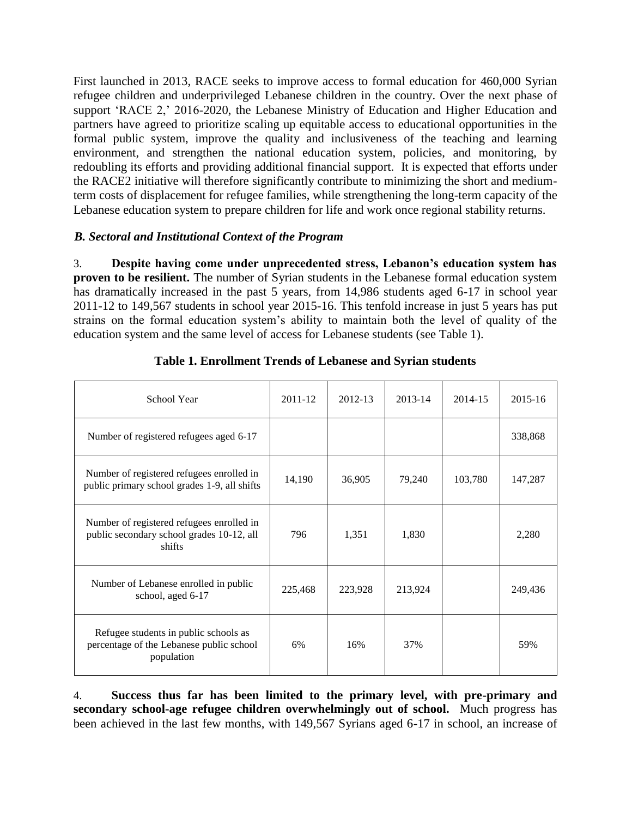First launched in 2013, RACE seeks to improve access to formal education for 460,000 Syrian refugee children and underprivileged Lebanese children in the country. Over the next phase of support 'RACE 2,' 2016-2020, the Lebanese Ministry of Education and Higher Education and partners have agreed to prioritize scaling up equitable access to educational opportunities in the formal public system, improve the quality and inclusiveness of the teaching and learning environment, and strengthen the national education system, policies, and monitoring, by redoubling its efforts and providing additional financial support. It is expected that efforts under the RACE2 initiative will therefore significantly contribute to minimizing the short and mediumterm costs of displacement for refugee families, while strengthening the long-term capacity of the Lebanese education system to prepare children for life and work once regional stability returns.

# *B. Sectoral and Institutional Context of the Program*

3. **Despite having come under unprecedented stress, Lebanon's education system has proven to be resilient.** The number of Syrian students in the Lebanese formal education system has dramatically increased in the past 5 years, from 14,986 students aged 6-17 in school year 2011-12 to 149,567 students in school year 2015-16. This tenfold increase in just 5 years has put strains on the formal education system's ability to maintain both the level of quality of the education system and the same level of access for Lebanese students (see Table 1).

| School Year                                                                                      | 2011-12 | 2012-13 | 2013-14 | 2014-15 | 2015-16 |
|--------------------------------------------------------------------------------------------------|---------|---------|---------|---------|---------|
| Number of registered refugees aged 6-17                                                          |         |         |         |         | 338,868 |
| Number of registered refugees enrolled in<br>public primary school grades 1-9, all shifts        | 14,190  | 36,905  | 79,240  | 103,780 | 147,287 |
| Number of registered refugees enrolled in<br>public secondary school grades 10-12, all<br>shifts | 796     | 1,351   | 1,830   |         | 2,280   |
| Number of Lebanese enrolled in public<br>school, aged 6-17                                       | 225,468 | 223,928 | 213,924 |         | 249,436 |
| Refugee students in public schools as<br>percentage of the Lebanese public school<br>population  | 6%      | 16%     | 37%     |         | 59%     |

4. **Success thus far has been limited to the primary level, with pre-primary and secondary school-age refugee children overwhelmingly out of school.** Much progress has been achieved in the last few months, with 149,567 Syrians aged 6-17 in school, an increase of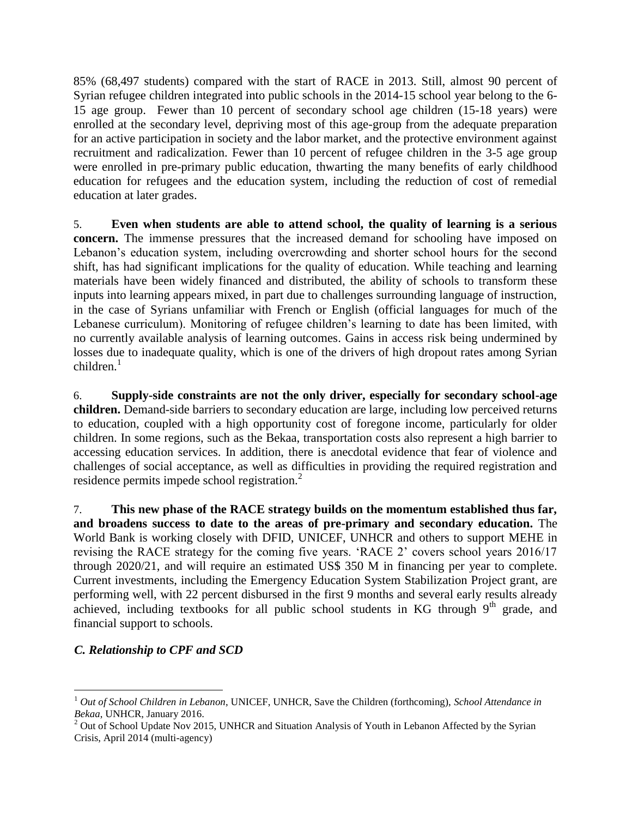85% (68,497 students) compared with the start of RACE in 2013. Still, almost 90 percent of Syrian refugee children integrated into public schools in the 2014-15 school year belong to the 6- 15 age group. Fewer than 10 percent of secondary school age children (15-18 years) were enrolled at the secondary level, depriving most of this age-group from the adequate preparation for an active participation in society and the labor market, and the protective environment against recruitment and radicalization. Fewer than 10 percent of refugee children in the 3-5 age group were enrolled in pre-primary public education, thwarting the many benefits of early childhood education for refugees and the education system, including the reduction of cost of remedial education at later grades.

5. **Even when students are able to attend school, the quality of learning is a serious concern.** The immense pressures that the increased demand for schooling have imposed on Lebanon's education system, including overcrowding and shorter school hours for the second shift, has had significant implications for the quality of education. While teaching and learning materials have been widely financed and distributed, the ability of schools to transform these inputs into learning appears mixed, in part due to challenges surrounding language of instruction, in the case of Syrians unfamiliar with French or English (official languages for much of the Lebanese curriculum). Monitoring of refugee children's learning to date has been limited, with no currently available analysis of learning outcomes. Gains in access risk being undermined by losses due to inadequate quality, which is one of the drivers of high dropout rates among Syrian  $children.<sup>1</sup>$ 

6. **Supply-side constraints are not the only driver, especially for secondary school-age children.** Demand-side barriers to secondary education are large, including low perceived returns to education, coupled with a high opportunity cost of foregone income, particularly for older children. In some regions, such as the Bekaa, transportation costs also represent a high barrier to accessing education services. In addition, there is anecdotal evidence that fear of violence and challenges of social acceptance, as well as difficulties in providing the required registration and residence permits impede school registration.<sup>2</sup>

7. **This new phase of the RACE strategy builds on the momentum established thus far, and broadens success to date to the areas of pre-primary and secondary education.** The World Bank is working closely with DFID, UNICEF, UNHCR and others to support MEHE in revising the RACE strategy for the coming five years. 'RACE 2' covers school years 2016/17 through 2020/21, and will require an estimated US\$ 350 M in financing per year to complete. Current investments, including the Emergency Education System Stabilization Project grant, are performing well, with 22 percent disbursed in the first 9 months and several early results already achieved, including textbooks for all public school students in KG through  $9<sup>th</sup>$  grade, and financial support to schools.

# *C. Relationship to CPF and SCD*

 $\overline{a}$ 

<sup>1</sup> *Out of School Children in Lebanon*, UNICEF, UNHCR, Save the Children (forthcoming), *School Attendance in Bekaa*, UNHCR, January 2016.

<sup>&</sup>lt;sup>2</sup> Out of School Update Nov 2015, UNHCR and Situation Analysis of Youth in Lebanon Affected by the Syrian Crisis, April 2014 (multi-agency)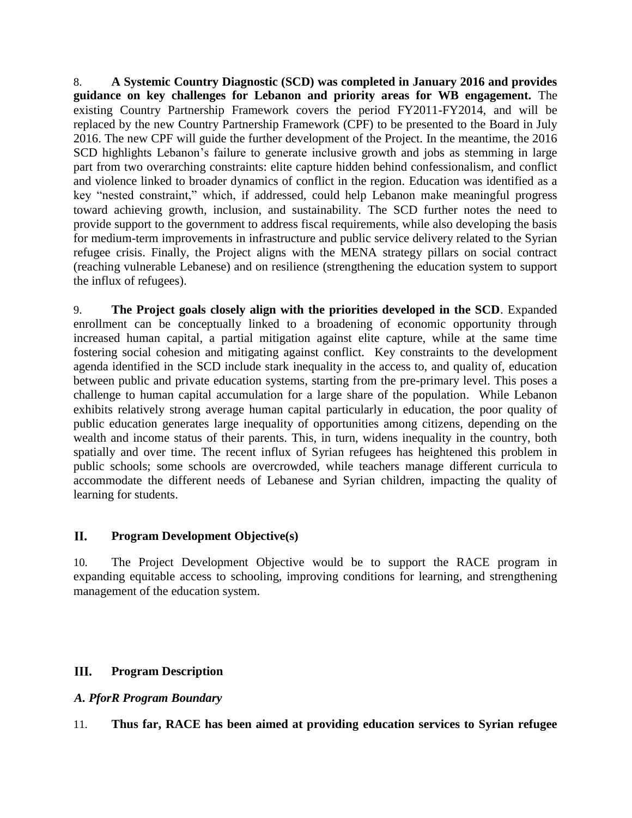8. **A Systemic Country Diagnostic (SCD) was completed in January 2016 and provides guidance on key challenges for Lebanon and priority areas for WB engagement.** The existing Country Partnership Framework covers the period FY2011-FY2014, and will be replaced by the new Country Partnership Framework (CPF) to be presented to the Board in July 2016. The new CPF will guide the further development of the Project. In the meantime, the 2016 SCD highlights Lebanon's failure to generate inclusive growth and jobs as stemming in large part from two overarching constraints: elite capture hidden behind confessionalism, and conflict and violence linked to broader dynamics of conflict in the region. Education was identified as a key "nested constraint," which, if addressed, could help Lebanon make meaningful progress toward achieving growth, inclusion, and sustainability. The SCD further notes the need to provide support to the government to address fiscal requirements, while also developing the basis for medium-term improvements in infrastructure and public service delivery related to the Syrian refugee crisis. Finally, the Project aligns with the MENA strategy pillars on social contract (reaching vulnerable Lebanese) and on resilience (strengthening the education system to support the influx of refugees).

9. **The Project goals closely align with the priorities developed in the SCD**. Expanded enrollment can be conceptually linked to a broadening of economic opportunity through increased human capital, a partial mitigation against elite capture, while at the same time fostering social cohesion and mitigating against conflict. Key constraints to the development agenda identified in the SCD include stark inequality in the access to, and quality of, education between public and private education systems, starting from the pre-primary level. This poses a challenge to human capital accumulation for a large share of the population. While Lebanon exhibits relatively strong average human capital particularly in education, the poor quality of public education generates large inequality of opportunities among citizens, depending on the wealth and income status of their parents. This, in turn, widens inequality in the country, both spatially and over time. The recent influx of Syrian refugees has heightened this problem in public schools; some schools are overcrowded, while teachers manage different curricula to accommodate the different needs of Lebanese and Syrian children, impacting the quality of learning for students.

#### II. **Program Development Objective(s)**

10. The Project Development Objective would be to support the RACE program in expanding equitable access to schooling, improving conditions for learning, and strengthening management of the education system.

#### III. **Program Description**

# *A. PforR Program Boundary*

11. **Thus far, RACE has been aimed at providing education services to Syrian refugee**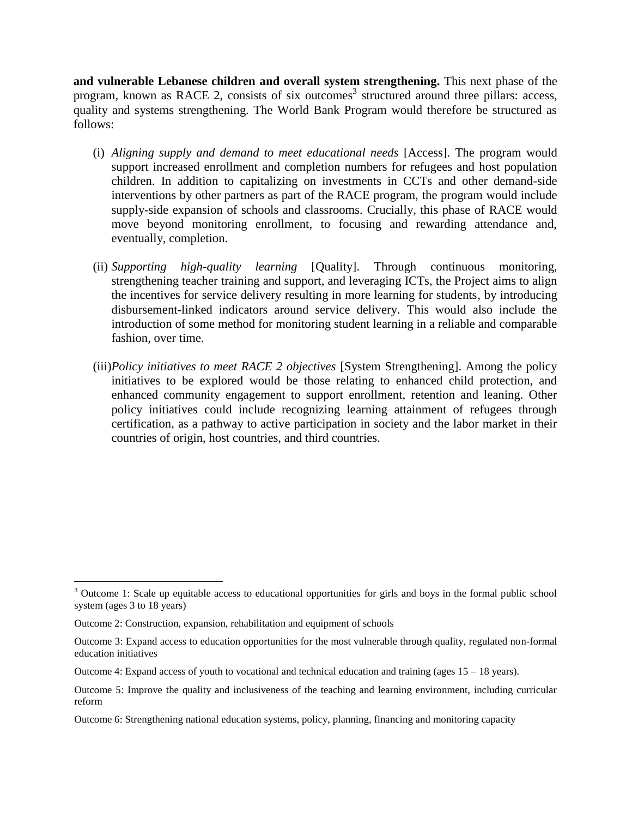**and vulnerable Lebanese children and overall system strengthening.** This next phase of the program, known as RACE 2, consists of six outcomes<sup>3</sup> structured around three pillars: access, quality and systems strengthening. The World Bank Program would therefore be structured as follows:

- (i) *Aligning supply and demand to meet educational needs* [Access]. The program would support increased enrollment and completion numbers for refugees and host population children. In addition to capitalizing on investments in CCTs and other demand-side interventions by other partners as part of the RACE program, the program would include supply-side expansion of schools and classrooms. Crucially, this phase of RACE would move beyond monitoring enrollment, to focusing and rewarding attendance and, eventually, completion.
- (ii) *Supporting high-quality learning* [Quality]. Through continuous monitoring, strengthening teacher training and support, and leveraging ICTs, the Project aims to align the incentives for service delivery resulting in more learning for students, by introducing disbursement-linked indicators around service delivery. This would also include the introduction of some method for monitoring student learning in a reliable and comparable fashion, over time.
- (iii)*Policy initiatives to meet RACE 2 objectives* [System Strengthening]. Among the policy initiatives to be explored would be those relating to enhanced child protection, and enhanced community engagement to support enrollment, retention and leaning. Other policy initiatives could include recognizing learning attainment of refugees through certification, as a pathway to active participation in society and the labor market in their countries of origin, host countries, and third countries.

 $\overline{a}$ 

<sup>&</sup>lt;sup>3</sup> Outcome 1: Scale up equitable access to educational opportunities for girls and boys in the formal public school system (ages 3 to 18 years)

Outcome 2: Construction, expansion, rehabilitation and equipment of schools

Outcome 3: Expand access to education opportunities for the most vulnerable through quality, regulated non-formal education initiatives

Outcome 4: Expand access of youth to vocational and technical education and training (ages  $15 - 18$  years).

Outcome 5: Improve the quality and inclusiveness of the teaching and learning environment, including curricular reform

Outcome 6: Strengthening national education systems, policy, planning, financing and monitoring capacity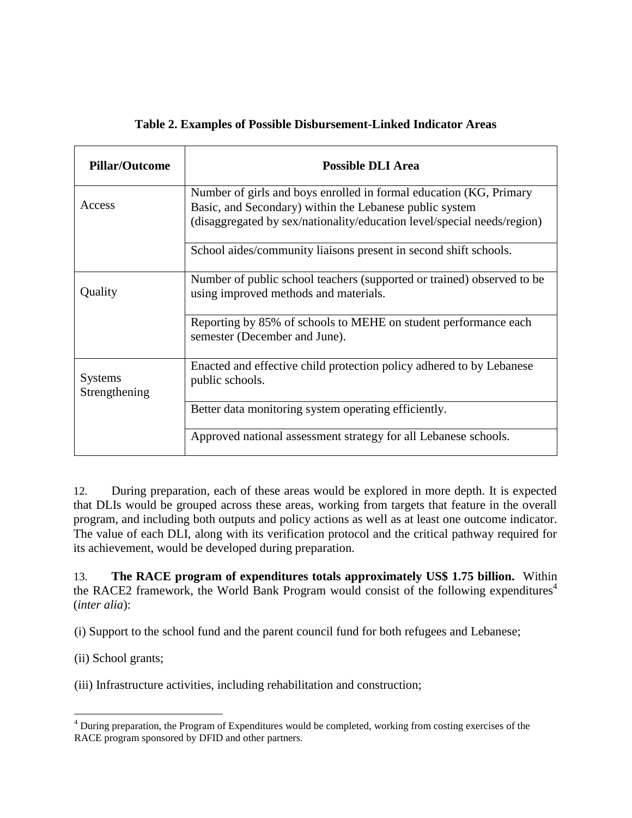# **Table 2. Examples of Possible Disbursement-Linked Indicator Areas**

| <b>Pillar/Outcome</b>           | <b>Possible DLI Area</b>                                                                                                                                                                                 |
|---------------------------------|----------------------------------------------------------------------------------------------------------------------------------------------------------------------------------------------------------|
| Access                          | Number of girls and boys enrolled in formal education (KG, Primary<br>Basic, and Secondary) within the Lebanese public system<br>(disaggregated by sex/nationality/education level/special needs/region) |
|                                 | School aides/community liaisons present in second shift schools.                                                                                                                                         |
| Quality                         | Number of public school teachers (supported or trained) observed to be<br>using improved methods and materials.                                                                                          |
|                                 | Reporting by 85% of schools to MEHE on student performance each<br>semester (December and June).                                                                                                         |
| <b>Systems</b><br>Strengthening | Enacted and effective child protection policy adhered to by Lebanese<br>public schools.                                                                                                                  |
|                                 | Better data monitoring system operating efficiently.                                                                                                                                                     |
|                                 | Approved national assessment strategy for all Lebanese schools.                                                                                                                                          |

12. During preparation, each of these areas would be explored in more depth. It is expected that DLIs would be grouped across these areas, working from targets that feature in the overall program, and including both outputs and policy actions as well as at least one outcome indicator. The value of each DLI, along with its verification protocol and the critical pathway required for its achievement, would be developed during preparation.

13. **The RACE program of expenditures totals approximately US\$ 1.75 billion.** Within the RACE2 framework, the World Bank Program would consist of the following expenditures<sup>4</sup> (*inter alia*):

(i) Support to the school fund and the parent council fund for both refugees and Lebanese;

(ii) School grants;

 $\overline{a}$ 

(iii) Infrastructure activities, including rehabilitation and construction;

 $4$  During preparation, the Program of Expenditures would be completed, working from costing exercises of the RACE program sponsored by DFID and other partners.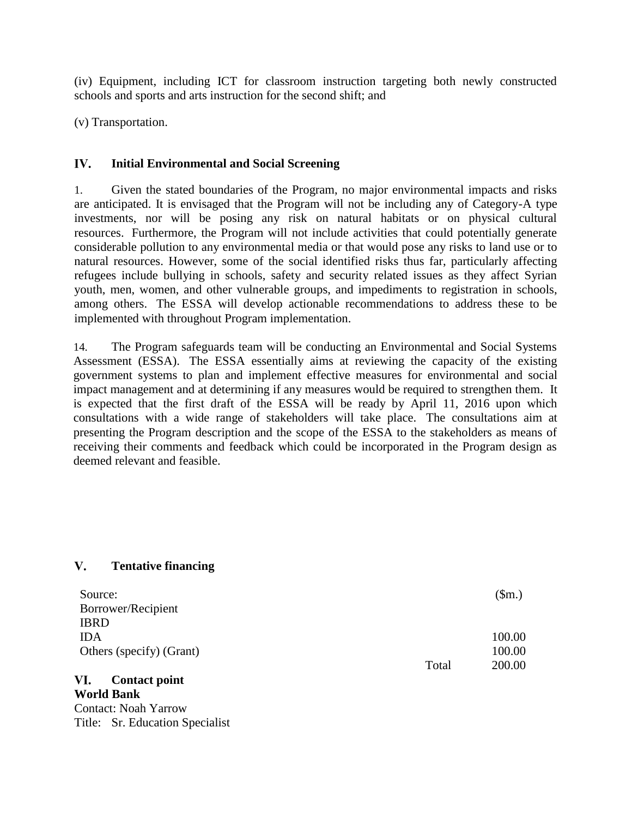(iv) Equipment, including ICT for classroom instruction targeting both newly constructed schools and sports and arts instruction for the second shift; and

(v) Transportation.

#### IV. **Initial Environmental and Social Screening**

1. Given the stated boundaries of the Program, no major environmental impacts and risks are anticipated. It is envisaged that the Program will not be including any of Category-A type investments, nor will be posing any risk on natural habitats or on physical cultural resources. Furthermore, the Program will not include activities that could potentially generate considerable pollution to any environmental media or that would pose any risks to land use or to natural resources. However, some of the social identified risks thus far, particularly affecting refugees include bullying in schools, safety and security related issues as they affect Syrian youth, men, women, and other vulnerable groups, and impediments to registration in schools, among others. The ESSA will develop actionable recommendations to address these to be implemented with throughout Program implementation.

14. The Program safeguards team will be conducting an Environmental and Social Systems Assessment (ESSA). The ESSA essentially aims at reviewing the capacity of the existing government systems to plan and implement effective measures for environmental and social impact management and at determining if any measures would be required to strengthen them. It is expected that the first draft of the ESSA will be ready by April 11, 2016 upon which consultations with a wide range of stakeholders will take place. The consultations aim at presenting the Program description and the scope of the ESSA to the stakeholders as means of receiving their comments and feedback which could be incorporated in the Program design as deemed relevant and feasible.

#### $V_{\bullet}$ **Tentative financing**

| Source:                     |       | \$m.)  |
|-----------------------------|-------|--------|
| Borrower/Recipient          |       |        |
| <b>IBRD</b>                 |       |        |
| <b>IDA</b>                  |       | 100.00 |
| Others (specify) (Grant)    |       | 100.00 |
|                             | Total | 200.00 |
| VI.<br><b>Contact point</b> |       |        |

**World Bank** Contact: Noah Yarrow Title: Sr. Education Specialist